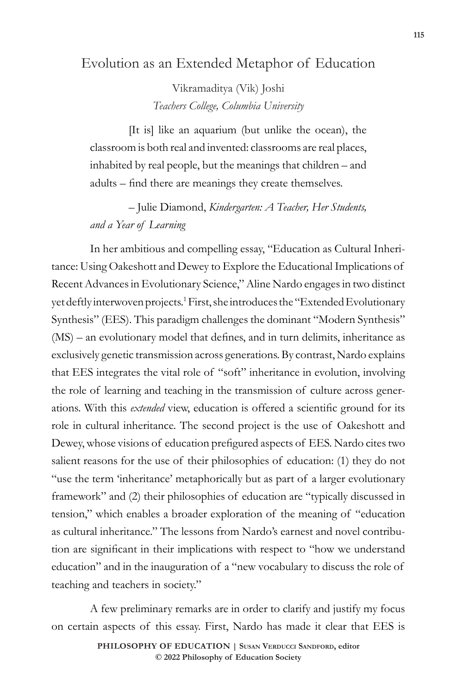## Evolution as an Extended Metaphor of Education

Vikramaditya (Vik) Joshi *Teachers College, Columbia University* 

[It is] like an aquarium (but unlike the ocean), the classroom is both real and invented: classrooms are real places, inhabited by real people, but the meanings that children – and adults – find there are meanings they create themselves.

## – Julie Diamond, *Kindergarten: A Teacher, Her Students, and a Year of Learning*

In her ambitious and compelling essay, "Education as Cultural Inheritance: Using Oakeshott and Dewey to Explore the Educational Implications of Recent Advances in Evolutionary Science," Aline Nardo engages in two distinct yet deftly interwoven projects.<sup>1</sup> First, she introduces the "Extended Evolutionary Synthesis" (EES). This paradigm challenges the dominant "Modern Synthesis" (MS) – an evolutionary model that defines, and in turn delimits, inheritance as exclusively genetic transmission across generations. By contrast, Nardo explains that EES integrates the vital role of "soft" inheritance in evolution, involving the role of learning and teaching in the transmission of culture across generations. With this *extended* view, education is offered a scientific ground for its role in cultural inheritance. The second project is the use of Oakeshott and Dewey, whose visions of education prefigured aspects of EES. Nardo cites two salient reasons for the use of their philosophies of education: (1) they do not "use the term 'inheritance' metaphorically but as part of a larger evolutionary framework" and (2) their philosophies of education are "typically discussed in tension," which enables a broader exploration of the meaning of "education as cultural inheritance." The lessons from Nardo's earnest and novel contribution are significant in their implications with respect to "how we understand education" and in the inauguration of a "new vocabulary to discuss the role of teaching and teachers in society."

A few preliminary remarks are in order to clarify and justify my focus on certain aspects of this essay. First, Nardo has made it clear that EES is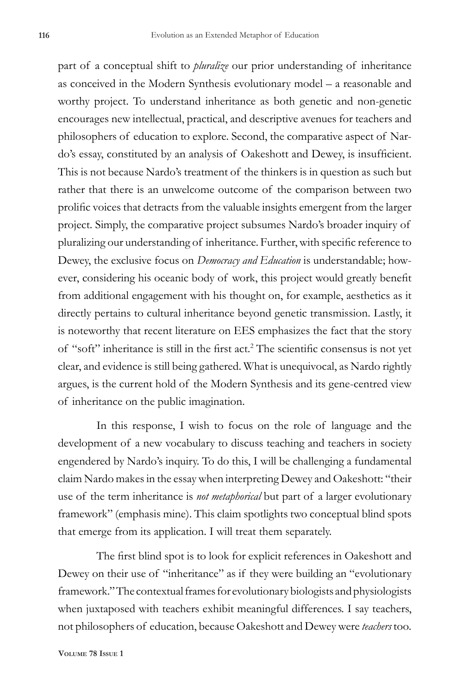part of a conceptual shift to *pluralize* our prior understanding of inheritance as conceived in the Modern Synthesis evolutionary model – a reasonable and worthy project. To understand inheritance as both genetic and non-genetic encourages new intellectual, practical, and descriptive avenues for teachers and philosophers of education to explore. Second, the comparative aspect of Nardo's essay, constituted by an analysis of Oakeshott and Dewey, is insufficient. This is not because Nardo's treatment of the thinkers is in question as such but rather that there is an unwelcome outcome of the comparison between two prolific voices that detracts from the valuable insights emergent from the larger project. Simply, the comparative project subsumes Nardo's broader inquiry of pluralizing our understanding of inheritance. Further, with specific reference to Dewey, the exclusive focus on *Democracy and Education* is understandable; however, considering his oceanic body of work, this project would greatly benefit from additional engagement with his thought on, for example, aesthetics as it directly pertains to cultural inheritance beyond genetic transmission. Lastly, it is noteworthy that recent literature on EES emphasizes the fact that the story of "soft" inheritance is still in the first act.<sup>2</sup> The scientific consensus is not yet clear, and evidence is still being gathered. What is unequivocal, as Nardo rightly argues, is the current hold of the Modern Synthesis and its gene-centred view of inheritance on the public imagination.

In this response, I wish to focus on the role of language and the development of a new vocabulary to discuss teaching and teachers in society engendered by Nardo's inquiry. To do this, I will be challenging a fundamental claim Nardo makes in the essay when interpreting Dewey and Oakeshott: "their use of the term inheritance is *not metaphorical* but part of a larger evolutionary framework" (emphasis mine). This claim spotlights two conceptual blind spots that emerge from its application. I will treat them separately.

The first blind spot is to look for explicit references in Oakeshott and Dewey on their use of "inheritance" as if they were building an "evolutionary framework." The contextual frames for evolutionary biologists and physiologists when juxtaposed with teachers exhibit meaningful differences. I say teachers, not philosophers of education, because Oakeshott and Dewey were *teachers* too*.*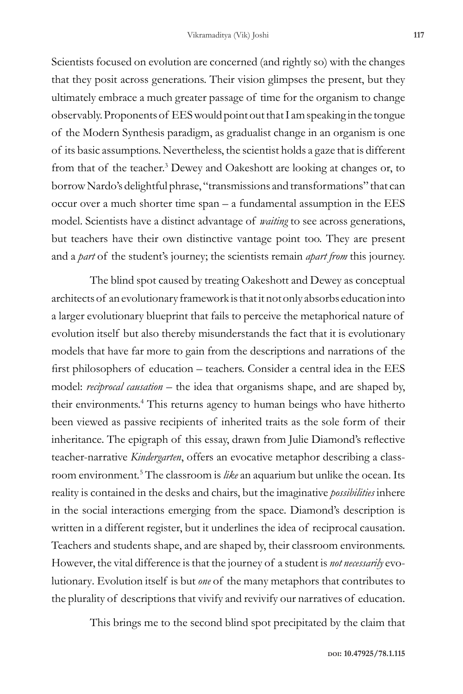Scientists focused on evolution are concerned (and rightly so) with the changes that they posit across generations. Their vision glimpses the present, but they ultimately embrace a much greater passage of time for the organism to change observably. Proponents of EES would point out that I am speaking in the tongue of the Modern Synthesis paradigm, as gradualist change in an organism is one of its basic assumptions. Nevertheless, the scientist holds a gaze that is different from that of the teacher.<sup>3</sup> Dewey and Oakeshott are looking at changes or, to borrow Nardo's delightful phrase, "transmissions and transformations" that can occur over a much shorter time span – a fundamental assumption in the EES model. Scientists have a distinct advantage of *waiting* to see across generations, but teachers have their own distinctive vantage point too. They are present and a *part* of the student's journey; the scientists remain *apart from* this journey.

The blind spot caused by treating Oakeshott and Dewey as conceptual architects of an evolutionary framework is that it not only absorbs education into a larger evolutionary blueprint that fails to perceive the metaphorical nature of evolution itself but also thereby misunderstands the fact that it is evolutionary models that have far more to gain from the descriptions and narrations of the first philosophers of education – teachers. Consider a central idea in the EES model: *reciprocal causation* – the idea that organisms shape, and are shaped by, their environments.<sup>4</sup> This returns agency to human beings who have hitherto been viewed as passive recipients of inherited traits as the sole form of their inheritance. The epigraph of this essay, drawn from Julie Diamond's reflective teacher-narrative *Kindergarten*, offers an evocative metaphor describing a classroom environment*.* <sup>5</sup> The classroom is *like* an aquarium but unlike the ocean. Its reality is contained in the desks and chairs, but the imaginative *possibilities* inhere in the social interactions emerging from the space. Diamond's description is written in a different register, but it underlines the idea of reciprocal causation. Teachers and students shape, and are shaped by, their classroom environments. However, the vital difference is that the journey of a student is *not necessarily* evolutionary*.* Evolution itself is but *one* of the many metaphors that contributes to the plurality of descriptions that vivify and revivify our narratives of education.

This brings me to the second blind spot precipitated by the claim that